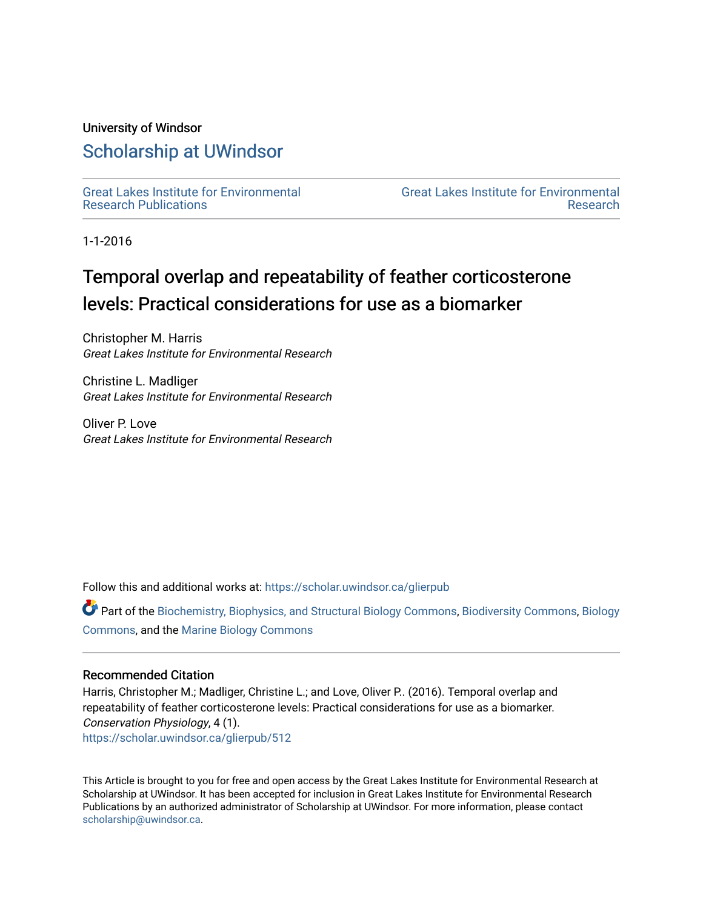#### University of Windsor

## [Scholarship at UWindsor](https://scholar.uwindsor.ca/)

[Great Lakes Institute for Environmental](https://scholar.uwindsor.ca/glierpub) [Research Publications](https://scholar.uwindsor.ca/glierpub) 

[Great Lakes Institute for Environmental](https://scholar.uwindsor.ca/glier)  [Research](https://scholar.uwindsor.ca/glier) 

1-1-2016

## Temporal overlap and repeatability of feather corticosterone levels: Practical considerations for use as a biomarker

Christopher M. Harris Great Lakes Institute for Environmental Research

Christine L. Madliger Great Lakes Institute for Environmental Research

Oliver P. Love Great Lakes Institute for Environmental Research

Follow this and additional works at: [https://scholar.uwindsor.ca/glierpub](https://scholar.uwindsor.ca/glierpub?utm_source=scholar.uwindsor.ca%2Fglierpub%2F512&utm_medium=PDF&utm_campaign=PDFCoverPages) 

Part of the [Biochemistry, Biophysics, and Structural Biology Commons](http://network.bepress.com/hgg/discipline/1?utm_source=scholar.uwindsor.ca%2Fglierpub%2F512&utm_medium=PDF&utm_campaign=PDFCoverPages), [Biodiversity Commons,](http://network.bepress.com/hgg/discipline/1127?utm_source=scholar.uwindsor.ca%2Fglierpub%2F512&utm_medium=PDF&utm_campaign=PDFCoverPages) [Biology](http://network.bepress.com/hgg/discipline/41?utm_source=scholar.uwindsor.ca%2Fglierpub%2F512&utm_medium=PDF&utm_campaign=PDFCoverPages)  [Commons](http://network.bepress.com/hgg/discipline/41?utm_source=scholar.uwindsor.ca%2Fglierpub%2F512&utm_medium=PDF&utm_campaign=PDFCoverPages), and the [Marine Biology Commons](http://network.bepress.com/hgg/discipline/1126?utm_source=scholar.uwindsor.ca%2Fglierpub%2F512&utm_medium=PDF&utm_campaign=PDFCoverPages) 

#### Recommended Citation

Harris, Christopher M.; Madliger, Christine L.; and Love, Oliver P.. (2016). Temporal overlap and repeatability of feather corticosterone levels: Practical considerations for use as a biomarker. Conservation Physiology, 4 (1). [https://scholar.uwindsor.ca/glierpub/512](https://scholar.uwindsor.ca/glierpub/512?utm_source=scholar.uwindsor.ca%2Fglierpub%2F512&utm_medium=PDF&utm_campaign=PDFCoverPages) 

This Article is brought to you for free and open access by the Great Lakes Institute for Environmental Research at Scholarship at UWindsor. It has been accepted for inclusion in Great Lakes Institute for Environmental Research Publications by an authorized administrator of Scholarship at UWindsor. For more information, please contact [scholarship@uwindsor.ca.](mailto:scholarship@uwindsor.ca)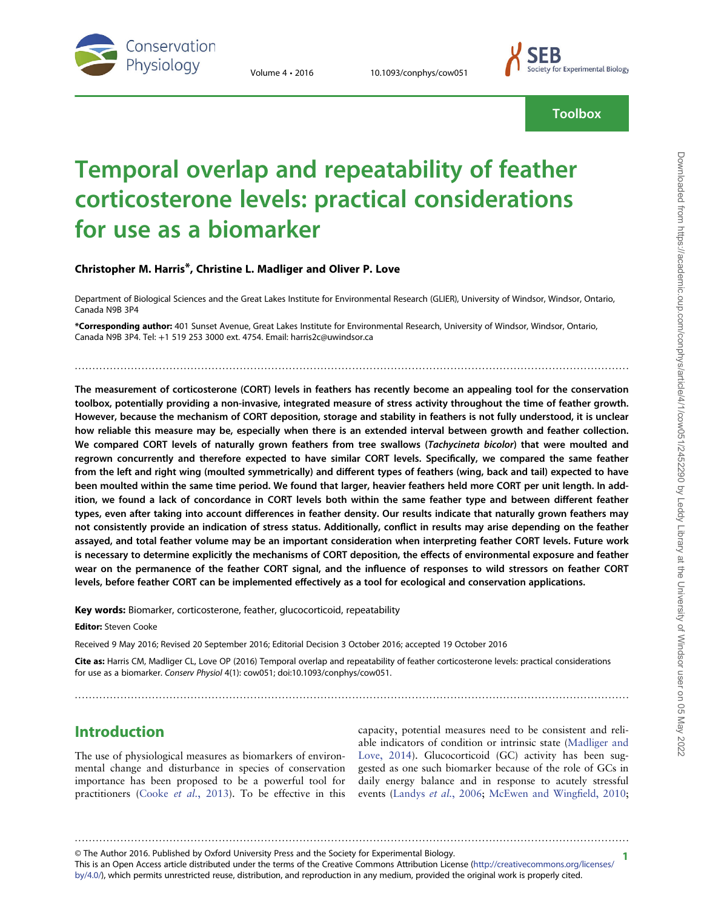



**Toolbox** 

# Temporal overlap and repeatability of feather corticosterone levels: practical considerations for use as a biomarker

Christopher M. Harris\*, Christine L. Madliger and Oliver P. Love

Department of Biological Sciences and the Great Lakes Institute for Environmental Research (GLIER), University of Windsor, Windsor, Ontario, Canada N9B 3P4

..............................................................................................................................................................

\*Corresponding author: 401 Sunset Avenue, Great Lakes Institute for Environmental Research, University of Windsor, Windsor, Ontario, Canada N9B 3P4. Tel: +1 519 253 3000 ext. 4754. Email: harris2c@uwindsor.ca

The measurement of corticosterone (CORT) levels in feathers has recently become an appealing tool for the conservation toolbox, potentially providing a non-invasive, integrated measure of stress activity throughout the time of feather growth. However, because the mechanism of CORT deposition, storage and stability in feathers is not fully understood, it is unclear how reliable this measure may be, especially when there is an extended interval between growth and feather collection. We compared CORT levels of naturally grown feathers from tree swallows (Tachycineta bicolor) that were moulted and regrown concurrently and therefore expected to have similar CORT levels. Specifically, we compared the same feather from the left and right wing (moulted symmetrically) and different types of feathers (wing, back and tail) expected to have been moulted within the same time period. We found that larger, heavier feathers held more CORT per unit length. In addition, we found a lack of concordance in CORT levels both within the same feather type and between different feather types, even after taking into account differences in feather density. Our results indicate that naturally grown feathers may not consistently provide an indication of stress status. Additionally, conflict in results may arise depending on the feather assayed, and total feather volume may be an important consideration when interpreting feather CORT levels. Future work is necessary to determine explicitly the mechanisms of CORT deposition, the effects of environmental exposure and feather wear on the permanence of the feather CORT signal, and the influence of responses to wild stressors on feather CORT levels, before feather CORT can be implemented effectively as a tool for ecological and conservation applications.

Key words: Biomarker, corticosterone, feather, glucocorticoid, repeatability

Editor: Steven Cooke

Received 9 May 2016; Revised 20 September 2016; Editorial Decision 3 October 2016; accepted 19 October 2016

Cite as: Harris CM, Madliger CL, Love OP (2016) Temporal overlap and repeatability of feather corticosterone levels: practical considerations for use as a biomarker. Conserv Physiol 4(1): cow051; doi:10.1093/conphys/cow051.

..............................................................................................................................................................

## Introduction

The use of physiological measures as biomarkers of environmental change and disturbance in species of conservation importance has been proposed to be a powerful tool for practitioners (Cooke et al.[, 2013](#page-10-0)). To be effective in this capacity, potential measures need to be consistent and reliable indicators of condition or intrinsic state [\(Madliger and](#page-11-0) [Love, 2014](#page-11-0)). Glucocorticoid (GC) activity has been suggested as one such biomarker because of the role of GCs in daily energy balance and in response to acutely stressful events [\(Landys](#page-10-0) et al., 2006; [McEwen and Wing](#page-11-0)field, 2010;

1 © The Author 2016. Published by Oxford University Press and the Society for Experimental Biology.

This is an Open Access article distributed under the terms of the Creative Commons Attribution License [\(http://creativecommons.org/licenses/](http://creativecommons.org/licenses/by/4.0/) [by/4.0/](http://creativecommons.org/licenses/by/4.0/)), which permits unrestricted reuse, distribution, and reproduction in any medium, provided the original work is properly cited.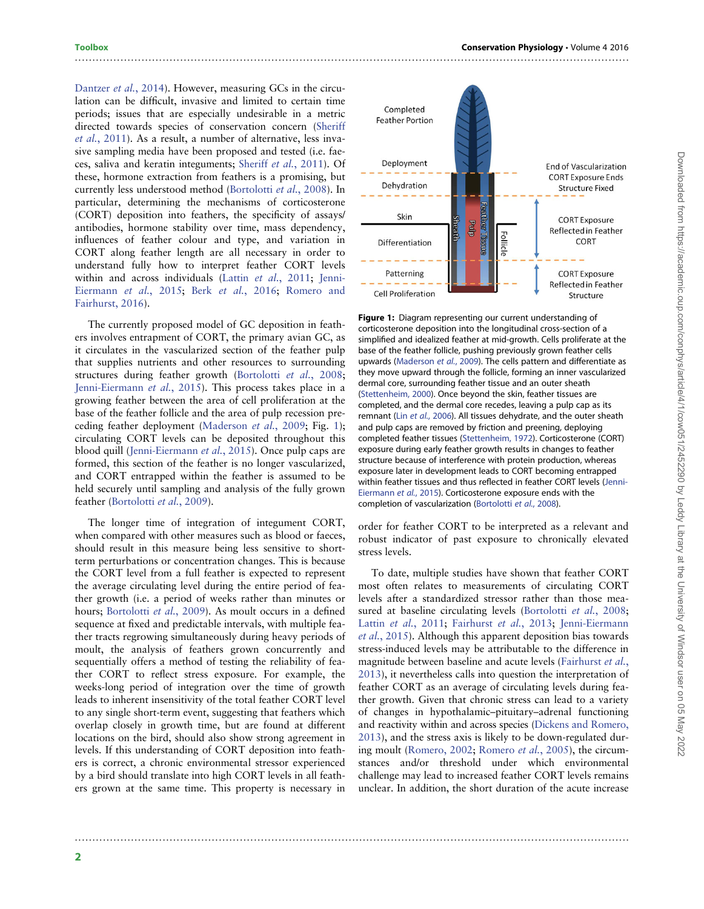[Dantzer](#page-10-0) et al., 2014). However, measuring GCs in the circulation can be difficult, invasive and limited to certain time periods; issues that are especially undesirable in a metric directed towards species of conservation concern [\(Sheriff](#page-11-0) et al.[, 2011](#page-11-0)). As a result, a number of alternative, less invasive sampling media have been proposed and tested (i.e. faeces, saliva and keratin integuments; Sheriff et al.[, 2011](#page-11-0)). Of these, hormone extraction from feathers is a promising, but currently less understood method [\(Bortolotti](#page-9-0) et al., 2008). In particular, determining the mechanisms of corticosterone (CORT) deposition into feathers, the specificity of assays/ antibodies, hormone stability over time, mass dependency, influences of feather colour and type, and variation in CORT along feather length are all necessary in order to understand fully how to interpret feather CORT levels within and across individuals (Lattin et al.[, 2011](#page-10-0); [Jenni-](#page-10-0)[Eiermann](#page-10-0) et al., 2015; Berk et al.[, 2016;](#page-9-0) [Romero and](#page-11-0) [Fairhurst, 2016](#page-11-0)).

The currently proposed model of GC deposition in feathers involves entrapment of CORT, the primary avian GC, as it circulates in the vascularized section of the feather pulp that supplies nutrients and other resources to surrounding structures during feather growth [\(Bortolotti](#page-9-0) et al., 2008; [Jenni-Eiermann](#page-10-0) et al., 2015). This process takes place in a growing feather between the area of cell proliferation at the base of the feather follicle and the area of pulp recession preceding feather deployment [\(Maderson](#page-11-0) et al., 2009; Fig. 1); circulating CORT levels can be deposited throughout this blood quill ([Jenni-Eiermann](#page-10-0) et al., 2015). Once pulp caps are formed, this section of the feather is no longer vascularized, and CORT entrapped within the feather is assumed to be held securely until sampling and analysis of the fully grown feather [\(Bortolotti](#page-9-0) et al., 2009).

The longer time of integration of integument CORT, when compared with other measures such as blood or faeces, should result in this measure being less sensitive to shortterm perturbations or concentration changes. This is because the CORT level from a full feather is expected to represent the average circulating level during the entire period of feather growth (i.e. a period of weeks rather than minutes or hours; [Bortolotti](#page-9-0) et al., 2009). As moult occurs in a defined sequence at fixed and predictable intervals, with multiple feather tracts regrowing simultaneously during heavy periods of moult, the analysis of feathers grown concurrently and sequentially offers a method of testing the reliability of feather CORT to reflect stress exposure. For example, the weeks-long period of integration over the time of growth leads to inherent insensitivity of the total feather CORT level to any single short-term event, suggesting that feathers which overlap closely in growth time, but are found at different locations on the bird, should also show strong agreement in levels. If this understanding of CORT deposition into feathers is correct, a chronic environmental stressor experienced by a bird should translate into high CORT levels in all feathers grown at the same time. This property is necessary in



Figure 1: Diagram representing our current understanding of corticosterone deposition into the longitudinal cross-section of a simplified and idealized feather at mid-growth. Cells proliferate at the base of the feather follicle, pushing previously grown feather cells upwards ([Maderson](#page-11-0) et al., 2009). The cells pattern and differentiate as they move upward through the follicle, forming an inner vascularized dermal core, surrounding feather tissue and an outer sheath [\(Stettenheim, 2000](#page-11-0)). Once beyond the skin, feather tissues are completed, and the dermal core recedes, leaving a pulp cap as its remnant (Lin et al.[, 2006\)](#page-11-0). All tissues dehydrate, and the outer sheath and pulp caps are removed by friction and preening, deploying completed feather tissues ([Stettenheim, 1972](#page-11-0)). Corticosterone (CORT) exposure during early feather growth results in changes to feather structure because of interference with protein production, whereas exposure later in development leads to CORT becoming entrapped within feather tissues and thus reflected in feather CORT levels [\(Jenni-](#page-10-0)[Eiermann](#page-10-0) et al., 2015). Corticosterone exposure ends with the completion of vascularization [\(Bortolotti](#page-9-0) et al., 2008).

order for feather CORT to be interpreted as a relevant and robust indicator of past exposure to chronically elevated stress levels.

To date, multiple studies have shown that feather CORT most often relates to measurements of circulating CORT levels after a standardized stressor rather than those mea-sured at baseline circulating levels ([Bortolotti](#page-9-0) et al., 2008; Lattin et al.[, 2011;](#page-10-0) [Fairhurst](#page-10-0) et al., 2013; [Jenni-Eiermann](#page-10-0) et al.[, 2015\)](#page-10-0). Although this apparent deposition bias towards stress-induced levels may be attributable to the difference in magnitude between baseline and acute levels [\(Fairhurst](#page-10-0) et al., [2013\)](#page-10-0), it nevertheless calls into question the interpretation of feather CORT as an average of circulating levels during feather growth. Given that chronic stress can lead to a variety of changes in hypothalamic–pituitary–adrenal functioning and reactivity within and across species [\(Dickens and Romero,](#page-10-0) [2013\)](#page-10-0), and the stress axis is likely to be down-regulated dur-ing moult [\(Romero, 2002](#page-11-0); [Romero](#page-11-0) et al., 2005), the circumstances and/or threshold under which environmental challenge may lead to increased feather CORT levels remains unclear. In addition, the short duration of the acute increase

..............................................................................................................................................................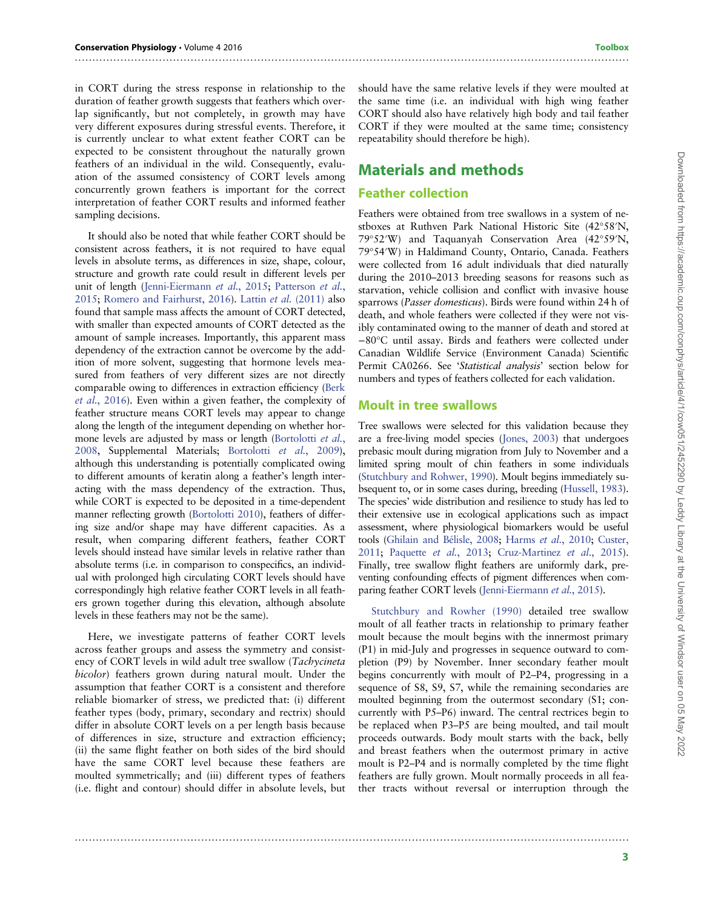repeatability should therefore be high). Materials and methods Feather collection Feathers were obtained from tree swallows in a system of nestboxes at Ruthven Park National Historic Site (42°58′N, 79°52′W) and Taquanyah Conservation Area (42°59′N, 79°54′W) in Haldimand County, Ontario, Canada. Feathers were collected from 16 adult individuals that died naturally during the 2010–2013 breeding seasons for reasons such as starvation, vehicle collision and conflict with invasive house sparrows (Passer domesticus). Birds were found within 24 h of Moult in tree swallows

..............................................................................................................................................................

..............................................................................................................................................................

are a free-living model species [\(Jones, 2003\)](#page-10-0) that undergoes prebasic moult during migration from July to November and a limited spring moult of chin feathers in some individuals ([Stutchbury and Rohwer, 1990](#page-11-0)). Moult begins immediately subsequent to, or in some cases during, breeding ([Hussell, 1983\)](#page-10-0). The species' wide distribution and resilience to study has led to their extensive use in ecological applications such as impact assessment, where physiological biomarkers would be useful tools [\(Ghilain and Bélisle, 2008](#page-10-0); [Harms](#page-10-0) et al., 2010; [Custer,](#page-10-0) [2011](#page-10-0); [Paquette](#page-11-0) et al., 2013; [Cruz-Martinez](#page-10-0) et al., 2015). Finally, tree swallow flight feathers are uniformly dark, preventing confounding effects of pigment differences when com-paring feather CORT levels ([Jenni-Eiermann](#page-10-0) et al., 2015).

[Stutchbury and Rowher \(1990\)](#page-11-0) detailed tree swallow moult of all feather tracts in relationship to primary feather moult because the moult begins with the innermost primary (P1) in mid-July and progresses in sequence outward to completion (P9) by November. Inner secondary feather moult begins concurrently with moult of P2–P4, progressing in a sequence of S8, S9, S7, while the remaining secondaries are moulted beginning from the outermost secondary (S1; concurrently with P5–P6) inward. The central rectrices begin to be replaced when P3–P5 are being moulted, and tail moult proceeds outwards. Body moult starts with the back, belly and breast feathers when the outermost primary in active moult is P2–P4 and is normally completed by the time flight feathers are fully grown. Moult normally proceeds in all feather tracts without reversal or interruption through the

in CORT during the stress response in relationship to the duration of feather growth suggests that feathers which overlap significantly, but not completely, in growth may have very different exposures during stressful events. Therefore, it is currently unclear to what extent feather CORT can be expected to be consistent throughout the naturally grown feathers of an individual in the wild. Consequently, evaluation of the assumed consistency of CORT levels among concurrently grown feathers is important for the correct interpretation of feather CORT results and informed feather sampling decisions.

It should also be noted that while feather CORT should be consistent across feathers, it is not required to have equal levels in absolute terms, as differences in size, shape, colour, structure and growth rate could result in different levels per unit of length [\(Jenni-Eiermann](#page-10-0) et al., 2015; [Patterson](#page-11-0) et al., [2015;](#page-11-0) [Romero and Fairhurst, 2016\)](#page-11-0). Lattin et al. [\(2011\)](#page-10-0) also found that sample mass affects the amount of CORT detected, with smaller than expected amounts of CORT detected as the amount of sample increases. Importantly, this apparent mass dependency of the extraction cannot be overcome by the addition of more solvent, suggesting that hormone levels measured from feathers of very different sizes are not directly comparable owing to differences in extraction efficiency [\(Berk](#page-9-0) et al.[, 2016](#page-9-0)). Even within a given feather, the complexity of feather structure means CORT levels may appear to change along the length of the integument depending on whether hor-mone levels are adjusted by mass or length [\(Bortolotti](#page-9-0) et al., [2008,](#page-9-0) Supplemental Materials; [Bortolotti](#page-9-0) et al., 2009), although this understanding is potentially complicated owing to different amounts of keratin along a feather's length interacting with the mass dependency of the extraction. Thus, while CORT is expected to be deposited in a time-dependent manner reflecting growth [\(Bortolotti 2010](#page-9-0)), feathers of differing size and/or shape may have different capacities. As a result, when comparing different feathers, feather CORT levels should instead have similar levels in relative rather than absolute terms (i.e. in comparison to conspecifics, an individual with prolonged high circulating CORT levels should have correspondingly high relative feather CORT levels in all feathers grown together during this elevation, although absolute levels in these feathers may not be the same).

Here, we investigate patterns of feather CORT levels across feather groups and assess the symmetry and consistency of CORT levels in wild adult tree swallow (Tachycineta bicolor) feathers grown during natural moult. Under the assumption that feather CORT is a consistent and therefore reliable biomarker of stress, we predicted that: (i) different feather types (body, primary, secondary and rectrix) should differ in absolute CORT levels on a per length basis because of differences in size, structure and extraction efficiency; (ii) the same flight feather on both sides of the bird should have the same CORT level because these feathers are moulted symmetrically; and (iii) different types of feathers (i.e. flight and contour) should differ in absolute levels, but should have the same relative levels if they were moulted at the same time (i.e. an individual with high wing feather CORT should also have relatively high body and tail feather CORT if they were moulted at the same time; consistency

Downloaded from https://academic.oup.com/conphys/article/4/1/cow051/2452290 by Leddy Library at the University of Windsor user on 05 May 2022 Downloaded from https://academic.oup.com/conphys/article/4/1/cow051/2452290 by Leddy Library at the University of Windsor user on 05 May 2022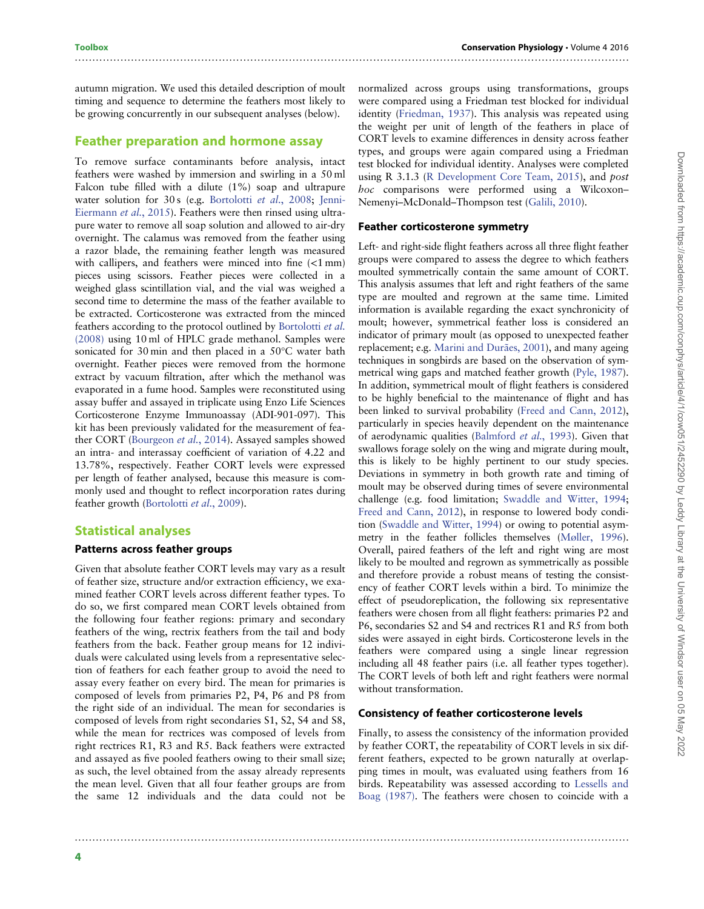autumn migration. We used this detailed description of moult timing and sequence to determine the feathers most likely to be growing concurrently in our subsequent analyses (below).

#### Feather preparation and hormone assay

To remove surface contaminants before analysis, intact feathers were washed by immersion and swirling in a 50 ml Falcon tube filled with a dilute (1%) soap and ultrapure water solution for 30 s (e.g. [Bortolotti](#page-9-0) et al., 2008; [Jenni-](#page-10-0)[Eiermann](#page-10-0) et al., 2015). Feathers were then rinsed using ultrapure water to remove all soap solution and allowed to air-dry overnight. The calamus was removed from the feather using a razor blade, the remaining feather length was measured with callipers, and feathers were minced into fine  $(<1$  mm) pieces using scissors. Feather pieces were collected in a weighed glass scintillation vial, and the vial was weighed a second time to determine the mass of the feather available to be extracted. Corticosterone was extracted from the minced feathers according to the protocol outlined by [Bortolotti](#page-9-0) et al. [\(2008\)](#page-9-0) using 10 ml of HPLC grade methanol. Samples were sonicated for 30 min and then placed in a 50°C water bath overnight. Feather pieces were removed from the hormone extract by vacuum filtration, after which the methanol was evaporated in a fume hood. Samples were reconstituted using assay buffer and assayed in triplicate using Enzo Life Sciences Corticosterone Enzyme Immunoassay (ADI-901-097). This kit has been previously validated for the measurement of feather CORT ([Bourgeon](#page-9-0) et al., 2014). Assayed samples showed an intra- and interassay coefficient of variation of 4.22 and 13.78%, respectively. Feather CORT levels were expressed per length of feather analysed, because this measure is commonly used and thought to reflect incorporation rates during feather growth ([Bortolotti](#page-9-0) et al., 2009).

#### Statistical analyses

#### Patterns across feather groups

Given that absolute feather CORT levels may vary as a result of feather size, structure and/or extraction efficiency, we examined feather CORT levels across different feather types. To do so, we first compared mean CORT levels obtained from the following four feather regions: primary and secondary feathers of the wing, rectrix feathers from the tail and body feathers from the back. Feather group means for 12 individuals were calculated using levels from a representative selection of feathers for each feather group to avoid the need to assay every feather on every bird. The mean for primaries is composed of levels from primaries P2, P4, P6 and P8 from the right side of an individual. The mean for secondaries is composed of levels from right secondaries S1, S2, S4 and S8, while the mean for rectrices was composed of levels from right rectrices R1, R3 and R5. Back feathers were extracted and assayed as five pooled feathers owing to their small size; as such, the level obtained from the assay already represents the mean level. Given that all four feather groups are from the same 12 individuals and the data could not be

normalized across groups using transformations, groups were compared using a Friedman test blocked for individual identity [\(Friedman, 1937\)](#page-10-0). This analysis was repeated using the weight per unit of length of the feathers in place of CORT levels to examine differences in density across feather types, and groups were again compared using a Friedman test blocked for individual identity. Analyses were completed using R 3.1.3 [\(R Development Core Team, 2015](#page-11-0)), and post hoc comparisons were performed using a Wilcoxon– Nemenyi–McDonald–Thompson test ([Galili, 2010\)](#page-10-0).

#### Feather corticosterone symmetry

..............................................................................................................................................................

Left- and right-side flight feathers across all three flight feather groups were compared to assess the degree to which feathers moulted symmetrically contain the same amount of CORT. This analysis assumes that left and right feathers of the same type are moulted and regrown at the same time. Limited information is available regarding the exact synchronicity of moult; however, symmetrical feather loss is considered an indicator of primary moult (as opposed to unexpected feather replacement; e.g. [Marini and Durães, 2001\)](#page-11-0), and many ageing techniques in songbirds are based on the observation of symmetrical wing gaps and matched feather growth [\(Pyle, 1987\)](#page-11-0). In addition, symmetrical moult of flight feathers is considered to be highly beneficial to the maintenance of flight and has been linked to survival probability [\(Freed and Cann, 2012\)](#page-10-0), particularly in species heavily dependent on the maintenance of aerodynamic qualities [\(Balmford](#page-9-0) et al., 1993). Given that swallows forage solely on the wing and migrate during moult, this is likely to be highly pertinent to our study species. Deviations in symmetry in both growth rate and timing of moult may be observed during times of severe environmental challenge (e.g. food limitation; [Swaddle and Witter, 1994;](#page-11-0) [Freed and Cann, 2012](#page-10-0)), in response to lowered body condition ([Swaddle and Witter, 1994\)](#page-11-0) or owing to potential asymmetry in the feather follicles themselves ([Møller, 1996\)](#page-11-0). Overall, paired feathers of the left and right wing are most likely to be moulted and regrown as symmetrically as possible and therefore provide a robust means of testing the consistency of feather CORT levels within a bird. To minimize the effect of pseudoreplication, the following six representative feathers were chosen from all flight feathers: primaries P2 and P6, secondaries S2 and S4 and rectrices R1 and R5 from both sides were assayed in eight birds. Corticosterone levels in the feathers were compared using a single linear regression including all 48 feather pairs (i.e. all feather types together). The CORT levels of both left and right feathers were normal without transformation.

#### Consistency of feather corticosterone levels

..............................................................................................................................................................

Finally, to assess the consistency of the information provided by feather CORT, the repeatability of CORT levels in six different feathers, expected to be grown naturally at overlapping times in moult, was evaluated using feathers from 16 birds. Repeatability was assessed according to [Lessells and](#page-11-0) [Boag \(1987\)](#page-11-0). The feathers were chosen to coincide with a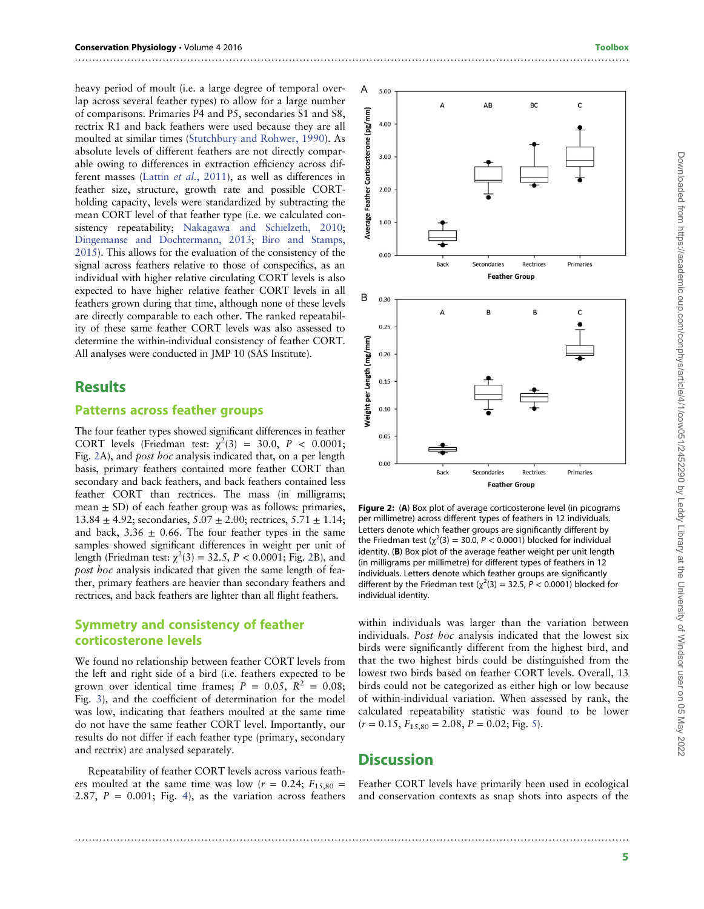heavy period of moult (i.e. a large degree of temporal overlap across several feather types) to allow for a large number of comparisons. Primaries P4 and P5, secondaries S1 and S8, rectrix R1 and back feathers were used because they are all moulted at similar times ([Stutchbury and Rohwer, 1990](#page-11-0)). As absolute levels of different feathers are not directly comparable owing to differences in extraction efficiency across different masses (Lattin et al.[, 2011](#page-10-0)), as well as differences in feather size, structure, growth rate and possible CORTholding capacity, levels were standardized by subtracting the mean CORT level of that feather type (i.e. we calculated consistency repeatability; [Nakagawa and Schielzeth, 2010](#page-11-0); [Dingemanse and Dochtermann, 2013;](#page-10-0) [Biro and Stamps,](#page-9-0) [2015\)](#page-9-0). This allows for the evaluation of the consistency of the signal across feathers relative to those of conspecifics, as an individual with higher relative circulating CORT levels is also expected to have higher relative feather CORT levels in all feathers grown during that time, although none of these levels are directly comparable to each other. The ranked repeatability of these same feather CORT levels was also assessed to determine the within-individual consistency of feather CORT. All analyses were conducted in JMP 10 (SAS Institute).

#### **Results**

#### Patterns across feather groups

The four feather types showed significant differences in feather CORT levels (Friedman test:  $\chi^2(3) = 30.0$ ,  $P < 0.0001$ ; Fig. 2A), and post hoc analysis indicated that, on a per length basis, primary feathers contained more feather CORT than secondary and back feathers, and back feathers contained less feather CORT than rectrices. The mass (in milligrams; mean  $\pm$  SD) of each feather group was as follows: primaries, 13.84  $\pm$  4.92; secondaries, 5.07  $\pm$  2.00; rectrices, 5.71  $\pm$  1.14; and back,  $3.36 \pm 0.66$ . The four feather types in the same samples showed significant differences in weight per unit of length (Friedman test:  $\chi^2(3) = 32.5$ ,  $P < 0.0001$ ; Fig. 2B), and post hoc analysis indicated that given the same length of feather, primary feathers are heavier than secondary feathers and rectrices, and back feathers are lighter than all flight feathers.

#### Symmetry and consistency of feather corticosterone levels

We found no relationship between feather CORT levels from the left and right side of a bird (i.e. feathers expected to be grown over identical time frames;  $P = 0.05$ ,  $R^2 = 0.08$ ; Fig. [3\)](#page-6-0), and the coefficient of determination for the model was low, indicating that feathers moulted at the same time do not have the same feather CORT level. Importantly, our results do not differ if each feather type (primary, secondary and rectrix) are analysed separately.

Repeatability of feather CORT levels across various feathers moulted at the same time was low  $(r = 0.24; F_{15,80})$ 2.87,  $P = 0.001$ ; Fig. [4\)](#page-6-0), as the variation across feathers



Figure 2: (A) Box plot of average corticosterone level (in picograms per millimetre) across different types of feathers in 12 individuals. Letters denote which feather groups are significantly different by the Friedman test  $(\chi^2(3) = 30.0, P < 0.0001)$  blocked for individual identity. (B) Box plot of the average feather weight per unit length (in milligrams per millimetre) for different types of feathers in 12 individuals. Letters denote which feather groups are significantly different by the Friedman test ( $\chi^2(3) = 32.5$ ,  $P < 0.0001$ ) blocked for individual identity.

within individuals was larger than the variation between individuals. Post hoc analysis indicated that the lowest six birds were significantly different from the highest bird, and that the two highest birds could be distinguished from the lowest two birds based on feather CORT levels. Overall, 13 birds could not be categorized as either high or low because of within-individual variation. When assessed by rank, the calculated repeatability statistic was found to be lower  $(r = 0.15, F_{15,80} = 2.08, P = 0.02; Fig. 5).$  $(r = 0.15, F_{15,80} = 2.08, P = 0.02; Fig. 5).$  $(r = 0.15, F_{15,80} = 2.08, P = 0.02; Fig. 5).$ 

#### **Discussion**

..............................................................................................................................................................

..............................................................................................................................................................

Feather CORT levels have primarily been used in ecological and conservation contexts as snap shots into aspects of the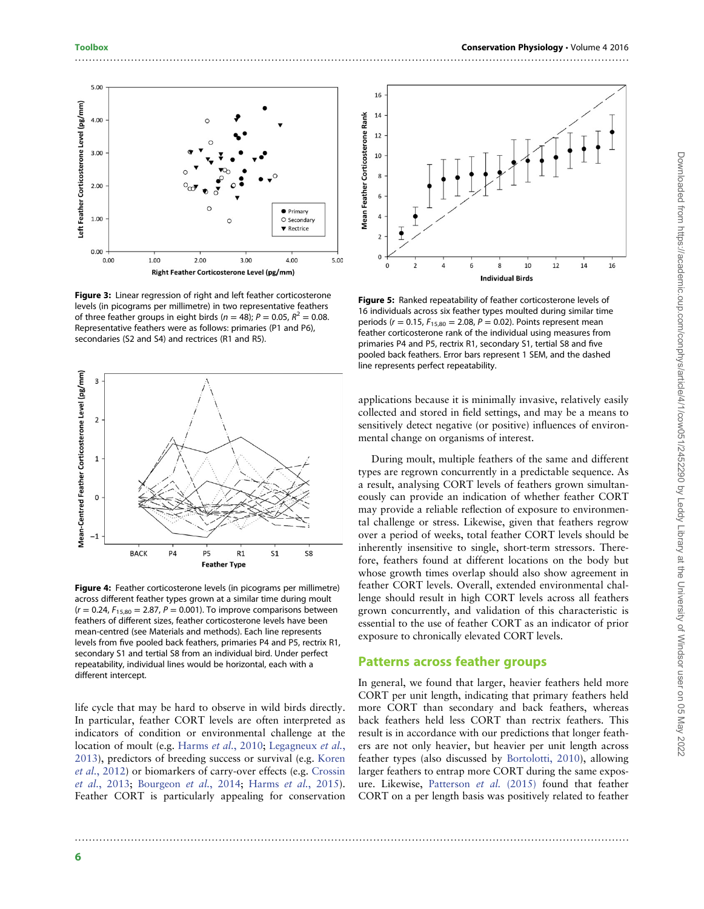

<span id="page-6-0"></span>..............................................................................................................................................................

Figure 3: Linear regression of right and left feather corticosterone levels (in picograms per millimetre) in two representative feathers of three feather groups in eight birds ( $n = 48$ );  $P = 0.05$ ,  $R^2 = 0.08$ . Representative feathers were as follows: primaries (P1 and P6), secondaries (S2 and S4) and rectrices (R1 and R5).



Figure 4: Feather corticosterone levels (in picograms per millimetre) across different feather types grown at a similar time during moult  $(r = 0.24, F_{15,80} = 2.87, P = 0.001)$ . To improve comparisons between feathers of different sizes, feather corticosterone levels have been mean-centred (see Materials and methods). Each line represents levels from five pooled back feathers, primaries P4 and P5, rectrix R1, secondary S1 and tertial S8 from an individual bird. Under perfect repeatability, individual lines would be horizontal, each with a different intercept.

life cycle that may be hard to observe in wild birds directly. In particular, feather CORT levels are often interpreted as indicators of condition or environmental challenge at the location of moult (e.g. [Harms](#page-10-0) et al., 2010; [Legagneux](#page-10-0) et al., [2013](#page-10-0)), predictors of breeding success or survival (e.g. [Koren](#page-10-0) et al.[, 2012](#page-10-0)) or biomarkers of carry-over effects (e.g. [Crossin](#page-10-0) et al.[, 2013;](#page-10-0) [Bourgeon](#page-9-0) et al., 2014; Harms et al.[, 2015](#page-10-0)). Feather CORT is particularly appealing for conservation



Figure 5: Ranked repeatability of feather corticosterone levels of 16 individuals across six feather types moulted during similar time periods ( $r = 0.15$ ,  $F_{15,80} = 2.08$ ,  $P = 0.02$ ). Points represent mean feather corticosterone rank of the individual using measures from primaries P4 and P5, rectrix R1, secondary S1, tertial S8 and five pooled back feathers. Error bars represent 1 SEM, and the dashed line represents perfect repeatability.

applications because it is minimally invasive, relatively easily collected and stored in field settings, and may be a means to sensitively detect negative (or positive) influences of environmental change on organisms of interest.

During moult, multiple feathers of the same and different types are regrown concurrently in a predictable sequence. As a result, analysing CORT levels of feathers grown simultaneously can provide an indication of whether feather CORT may provide a reliable reflection of exposure to environmental challenge or stress. Likewise, given that feathers regrow over a period of weeks, total feather CORT levels should be inherently insensitive to single, short-term stressors. Therefore, feathers found at different locations on the body but whose growth times overlap should also show agreement in feather CORT levels. Overall, extended environmental challenge should result in high CORT levels across all feathers grown concurrently, and validation of this characteristic is essential to the use of feather CORT as an indicator of prior exposure to chronically elevated CORT levels.

#### Patterns across feather groups

..............................................................................................................................................................

In general, we found that larger, heavier feathers held more CORT per unit length, indicating that primary feathers held more CORT than secondary and back feathers, whereas back feathers held less CORT than rectrix feathers. This result is in accordance with our predictions that longer feathers are not only heavier, but heavier per unit length across feather types (also discussed by [Bortolotti, 2010\)](#page-9-0), allowing larger feathers to entrap more CORT during the same expos-ure. Likewise, [Patterson](#page-11-0) et al. (2015) found that feather CORT on a per length basis was positively related to feather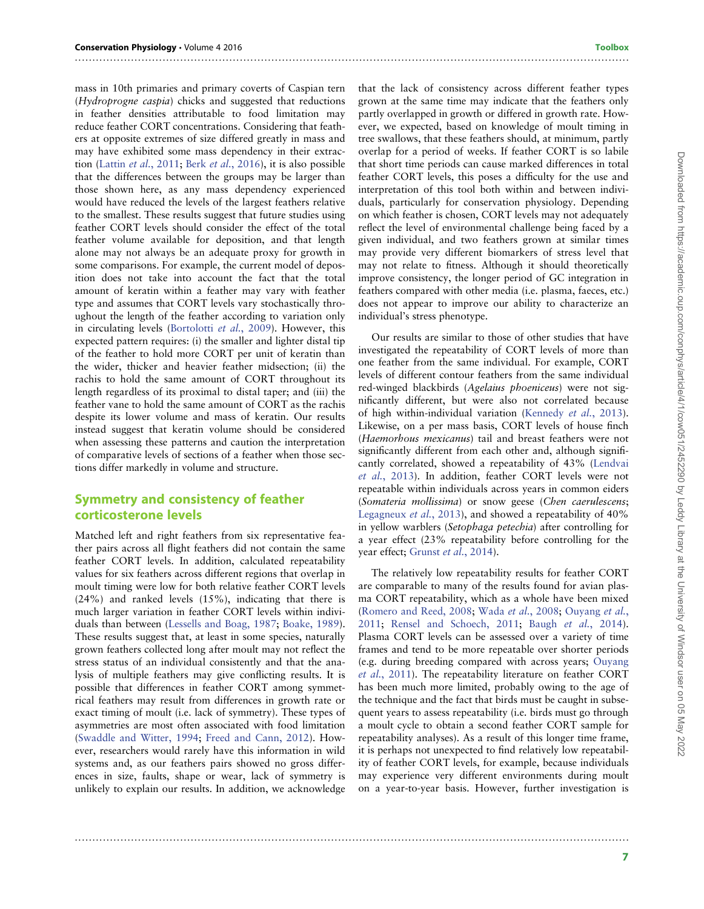mass in 10th primaries and primary coverts of Caspian tern (Hydroprogne caspia) chicks and suggested that reductions in feather densities attributable to food limitation may reduce feather CORT concentrations. Considering that feathers at opposite extremes of size differed greatly in mass and may have exhibited some mass dependency in their extraction (Lattin et al.[, 2011](#page-10-0); Berk et al.[, 2016](#page-9-0)), it is also possible that the differences between the groups may be larger than those shown here, as any mass dependency experienced would have reduced the levels of the largest feathers relative to the smallest. These results suggest that future studies using feather CORT levels should consider the effect of the total feather volume available for deposition, and that length alone may not always be an adequate proxy for growth in some comparisons. For example, the current model of deposition does not take into account the fact that the total amount of keratin within a feather may vary with feather type and assumes that CORT levels vary stochastically throughout the length of the feather according to variation only in circulating levels [\(Bortolotti](#page-9-0) et al., 2009). However, this expected pattern requires: (i) the smaller and lighter distal tip of the feather to hold more CORT per unit of keratin than the wider, thicker and heavier feather midsection; (ii) the rachis to hold the same amount of CORT throughout its length regardless of its proximal to distal taper; and (iii) the feather vane to hold the same amount of CORT as the rachis despite its lower volume and mass of keratin. Our results instead suggest that keratin volume should be considered when assessing these patterns and caution the interpretation of comparative levels of sections of a feather when those sections differ markedly in volume and structure.

#### Symmetry and consistency of feather corticosterone levels

Matched left and right feathers from six representative feather pairs across all flight feathers did not contain the same feather CORT levels. In addition, calculated repeatability values for six feathers across different regions that overlap in moult timing were low for both relative feather CORT levels (24%) and ranked levels (15%), indicating that there is much larger variation in feather CORT levels within individuals than between ([Lessells and Boag, 1987](#page-11-0); [Boake, 1989](#page-9-0)). These results suggest that, at least in some species, naturally grown feathers collected long after moult may not reflect the stress status of an individual consistently and that the analysis of multiple feathers may give conflicting results. It is possible that differences in feather CORT among symmetrical feathers may result from differences in growth rate or exact timing of moult (i.e. lack of symmetry). These types of asymmetries are most often associated with food limitation [\(Swaddle and Witter, 1994;](#page-11-0) [Freed and Cann, 2012](#page-10-0)). However, researchers would rarely have this information in wild systems and, as our feathers pairs showed no gross differences in size, faults, shape or wear, lack of symmetry is unlikely to explain our results. In addition, we acknowledge

that the lack of consistency across different feather types grown at the same time may indicate that the feathers only partly overlapped in growth or differed in growth rate. However, we expected, based on knowledge of moult timing in tree swallows, that these feathers should, at minimum, partly overlap for a period of weeks. If feather CORT is so labile that short time periods can cause marked differences in total feather CORT levels, this poses a difficulty for the use and interpretation of this tool both within and between individuals, particularly for conservation physiology. Depending on which feather is chosen, CORT levels may not adequately reflect the level of environmental challenge being faced by a given individual, and two feathers grown at similar times may provide very different biomarkers of stress level that may not relate to fitness. Although it should theoretically improve consistency, the longer period of GC integration in feathers compared with other media (i.e. plasma, faeces, etc.) does not appear to improve our ability to characterize an individual's stress phenotype.

Our results are similar to those of other studies that have investigated the repeatability of CORT levels of more than one feather from the same individual. For example, CORT levels of different contour feathers from the same individual red-winged blackbirds (Agelaius phoeniceus) were not significantly different, but were also not correlated because of high within-individual variation ([Kennedy](#page-10-0) et al., 2013). Likewise, on a per mass basis, CORT levels of house finch (Haemorhous mexicanus) tail and breast feathers were not significantly different from each other and, although significantly correlated, showed a repeatability of 43% [\(Lendvai](#page-10-0) et al.[, 2013](#page-10-0)). In addition, feather CORT levels were not repeatable within individuals across years in common eiders (Somateria mollissima) or snow geese (Chen caerulescens; [Legagneux](#page-10-0) et al., 2013), and showed a repeatability of 40% in yellow warblers (Setophaga petechia) after controlling for a year effect (23% repeatability before controlling for the year effect; [Grunst](#page-10-0) et al., 2014).

The relatively low repeatability results for feather CORT are comparable to many of the results found for avian plasma CORT repeatability, which as a whole have been mixed ([Romero and Reed, 2008;](#page-11-0) Wada et al.[, 2008](#page-11-0); [Ouyang](#page-11-0) et al., [2011;](#page-11-0) [Rensel and Schoech, 2011;](#page-11-0) Baugh et al.[, 2014\)](#page-9-0). Plasma CORT levels can be assessed over a variety of time frames and tend to be more repeatable over shorter periods (e.g. during breeding compared with across years; [Ouyang](#page-11-0) et al.[, 2011](#page-11-0)). The repeatability literature on feather CORT has been much more limited, probably owing to the age of the technique and the fact that birds must be caught in subsequent years to assess repeatability (i.e. birds must go through a moult cycle to obtain a second feather CORT sample for repeatability analyses). As a result of this longer time frame, it is perhaps not unexpected to find relatively low repeatability of feather CORT levels, for example, because individuals may experience very different environments during moult on a year-to-year basis. However, further investigation is

..............................................................................................................................................................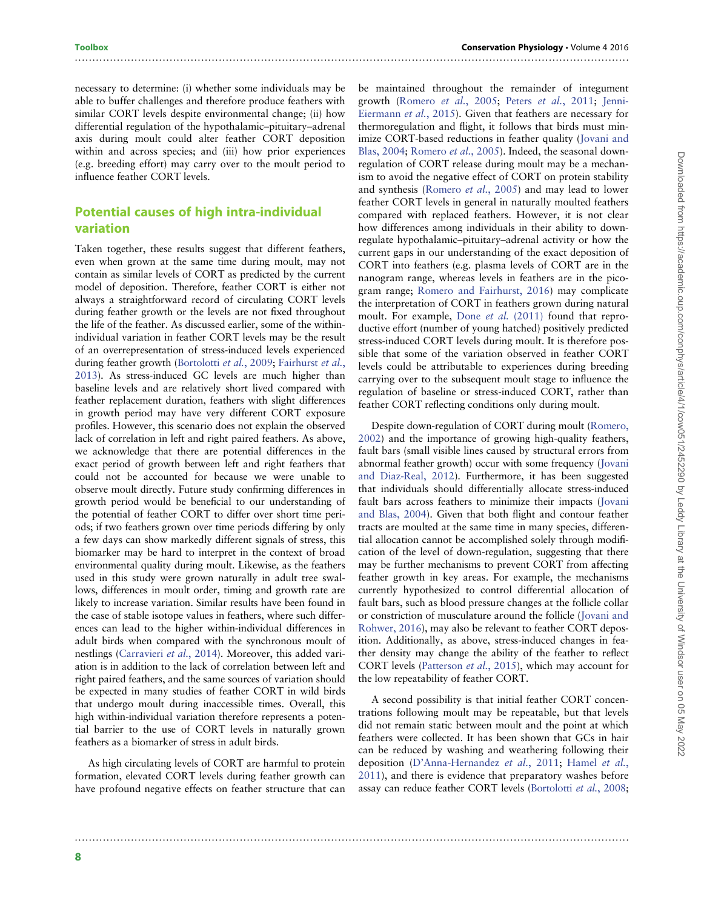necessary to determine: (i) whether some individuals may be able to buffer challenges and therefore produce feathers with similar CORT levels despite environmental change; (ii) how differential regulation of the hypothalamic–pituitary–adrenal axis during moult could alter feather CORT deposition within and across species; and (iii) how prior experiences (e.g. breeding effort) may carry over to the moult period to influence feather CORT levels.

..............................................................................................................................................................

#### Potential causes of high intra-individual variation

Taken together, these results suggest that different feathers, even when grown at the same time during moult, may not contain as similar levels of CORT as predicted by the current model of deposition. Therefore, feather CORT is either not always a straightforward record of circulating CORT levels during feather growth or the levels are not fixed throughout the life of the feather. As discussed earlier, some of the withinindividual variation in feather CORT levels may be the result of an overrepresentation of stress-induced levels experienced during feather growth [\(Bortolotti](#page-9-0) et al., 2009; [Fairhurst](#page-10-0) et al., [2013\)](#page-10-0). As stress-induced GC levels are much higher than baseline levels and are relatively short lived compared with feather replacement duration, feathers with slight differences in growth period may have very different CORT exposure profiles. However, this scenario does not explain the observed lack of correlation in left and right paired feathers. As above, we acknowledge that there are potential differences in the exact period of growth between left and right feathers that could not be accounted for because we were unable to observe moult directly. Future study confirming differences in growth period would be beneficial to our understanding of the potential of feather CORT to differ over short time periods; if two feathers grown over time periods differing by only a few days can show markedly different signals of stress, this biomarker may be hard to interpret in the context of broad environmental quality during moult. Likewise, as the feathers used in this study were grown naturally in adult tree swallows, differences in moult order, timing and growth rate are likely to increase variation. Similar results have been found in the case of stable isotope values in feathers, where such differences can lead to the higher within-individual differences in adult birds when compared with the synchronous moult of nestlings ([Carravieri](#page-9-0) et al., 2014). Moreover, this added variation is in addition to the lack of correlation between left and right paired feathers, and the same sources of variation should be expected in many studies of feather CORT in wild birds that undergo moult during inaccessible times. Overall, this high within-individual variation therefore represents a potential barrier to the use of CORT levels in naturally grown feathers as a biomarker of stress in adult birds.

As high circulating levels of CORT are harmful to protein formation, elevated CORT levels during feather growth can have profound negative effects on feather structure that can

..............................................................................................................................................................

be maintained throughout the remainder of integument growth ([Romero](#page-11-0) et al., 2005; Peters et al.[, 2011;](#page-11-0) [Jenni-](#page-10-0)[Eiermann](#page-10-0) et al., 2015). Given that feathers are necessary for thermoregulation and flight, it follows that birds must minimize CORT-based reductions in feather quality ([Jovani and](#page-10-0) [Blas, 2004](#page-10-0); [Romero](#page-11-0) et al., 2005). Indeed, the seasonal downregulation of CORT release during moult may be a mechanism to avoid the negative effect of CORT on protein stability and synthesis [\(Romero](#page-11-0) et al., 2005) and may lead to lower feather CORT levels in general in naturally moulted feathers compared with replaced feathers. However, it is not clear how differences among individuals in their ability to downregulate hypothalamic–pituitary–adrenal activity or how the current gaps in our understanding of the exact deposition of CORT into feathers (e.g. plasma levels of CORT are in the nanogram range, whereas levels in feathers are in the picogram range; [Romero and Fairhurst, 2016](#page-11-0)) may complicate the interpretation of CORT in feathers grown during natural moult. For example, Done et al. [\(2011\)](#page-10-0) found that reproductive effort (number of young hatched) positively predicted stress-induced CORT levels during moult. It is therefore possible that some of the variation observed in feather CORT levels could be attributable to experiences during breeding carrying over to the subsequent moult stage to influence the regulation of baseline or stress-induced CORT, rather than feather CORT reflecting conditions only during moult.

Despite down-regulation of CORT during moult ([Romero,](#page-11-0) [2002](#page-11-0)) and the importance of growing high-quality feathers, fault bars (small visible lines caused by structural errors from abnormal feather growth) occur with some frequency ([Jovani](#page-10-0) [and Diaz-Real, 2012](#page-10-0)). Furthermore, it has been suggested that individuals should differentially allocate stress-induced fault bars across feathers to minimize their impacts [\(Jovani](#page-10-0) [and Blas, 2004](#page-10-0)). Given that both flight and contour feather tracts are moulted at the same time in many species, differential allocation cannot be accomplished solely through modification of the level of down-regulation, suggesting that there may be further mechanisms to prevent CORT from affecting feather growth in key areas. For example, the mechanisms currently hypothesized to control differential allocation of fault bars, such as blood pressure changes at the follicle collar or constriction of musculature around the follicle [\(Jovani and](#page-10-0) [Rohwer, 2016\)](#page-10-0), may also be relevant to feather CORT deposition. Additionally, as above, stress-induced changes in feather density may change the ability of the feather to reflect CORT levels [\(Patterson](#page-11-0) et al., 2015), which may account for the low repeatability of feather CORT.

A second possibility is that initial feather CORT concentrations following moult may be repeatable, but that levels did not remain static between moult and the point at which feathers were collected. It has been shown that GCs in hair can be reduced by washing and weathering following their deposition (D'[Anna-Hernandez](#page-10-0) et al., 2011; [Hamel](#page-10-0) et al., [2011\)](#page-10-0), and there is evidence that preparatory washes before assay can reduce feather CORT levels [\(Bortolotti](#page-9-0) et al., 2008;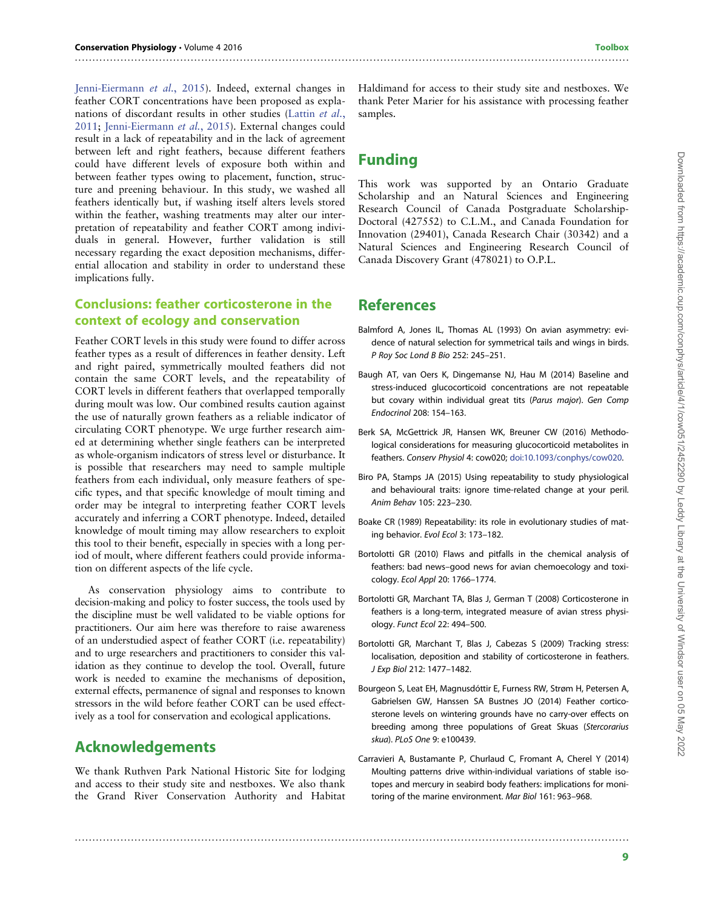<span id="page-9-0"></span>[Jenni-Eiermann](#page-10-0) et al., 2015). Indeed, external changes in feather CORT concentrations have been proposed as explanations of discordant results in other studies ([Lattin](#page-10-0) et al., [2011](#page-10-0); [Jenni-Eiermann](#page-10-0) et al., 2015). External changes could result in a lack of repeatability and in the lack of agreement between left and right feathers, because different feathers could have different levels of exposure both within and between feather types owing to placement, function, structure and preening behaviour. In this study, we washed all feathers identically but, if washing itself alters levels stored within the feather, washing treatments may alter our interpretation of repeatability and feather CORT among individuals in general. However, further validation is still necessary regarding the exact deposition mechanisms, differential allocation and stability in order to understand these implications fully.

### Conclusions: feather corticosterone in the context of ecology and conservation

Feather CORT levels in this study were found to differ across feather types as a result of differences in feather density. Left and right paired, symmetrically moulted feathers did not contain the same CORT levels, and the repeatability of CORT levels in different feathers that overlapped temporally during moult was low. Our combined results caution against the use of naturally grown feathers as a reliable indicator of circulating CORT phenotype. We urge further research aimed at determining whether single feathers can be interpreted as whole-organism indicators of stress level or disturbance. It is possible that researchers may need to sample multiple feathers from each individual, only measure feathers of specific types, and that specific knowledge of moult timing and order may be integral to interpreting feather CORT levels accurately and inferring a CORT phenotype. Indeed, detailed knowledge of moult timing may allow researchers to exploit this tool to their benefit, especially in species with a long period of moult, where different feathers could provide information on different aspects of the life cycle.

As conservation physiology aims to contribute to decision-making and policy to foster success, the tools used by the discipline must be well validated to be viable options for practitioners. Our aim here was therefore to raise awareness of an understudied aspect of feather CORT (i.e. repeatability) and to urge researchers and practitioners to consider this validation as they continue to develop the tool. Overall, future work is needed to examine the mechanisms of deposition, external effects, permanence of signal and responses to known stressors in the wild before feather CORT can be used effectively as a tool for conservation and ecological applications.

## Acknowledgements

We thank Ruthven Park National Historic Site for lodging and access to their study site and nestboxes. We also thank the Grand River Conservation Authority and Habitat

..............................................................................................................................................................

Haldimand for access to their study site and nestboxes. We thank Peter Marier for his assistance with processing feather samples.

## Funding

This work was supported by an Ontario Graduate Scholarship and an Natural Sciences and Engineering Research Council of Canada Postgraduate Scholarship-Doctoral (427552) to C.L.M., and Canada Foundation for Innovation (29401), Canada Research Chair (30342) and a Natural Sciences and Engineering Research Council of Canada Discovery Grant (478021) to O.P.L.

## References

- Balmford A, Jones IL, Thomas AL (1993) On avian asymmetry: evidence of natural selection for symmetrical tails and wings in birds. P Roy Soc Lond B Bio 252: 245–251.
- Baugh AT, van Oers K, Dingemanse NJ, Hau M (2014) Baseline and stress-induced glucocorticoid concentrations are not repeatable but covary within individual great tits (Parus major). Gen Comp Endocrinol 208: 154–163.
- Berk SA, McGettrick JR, Hansen WK, Breuner CW (2016) Methodological considerations for measuring glucocorticoid metabolites in feathers. Conserv Physiol 4: cow020; [doi:10.1093/conphys/cow020](http://dx.doi.org/10.1093/conphys/cow020).
- Biro PA, Stamps JA (2015) Using repeatability to study physiological and behavioural traits: ignore time-related change at your peril. Anim Behav 105: 223–230.
- Boake CR (1989) Repeatability: its role in evolutionary studies of mating behavior. Evol Ecol 3: 173–182.
- Bortolotti GR (2010) Flaws and pitfalls in the chemical analysis of feathers: bad news–good news for avian chemoecology and toxicology. Ecol Appl 20: 1766–1774.
- Bortolotti GR, Marchant TA, Blas J, German T (2008) Corticosterone in feathers is a long-term, integrated measure of avian stress physiology. Funct Ecol 22: 494–500.
- Bortolotti GR, Marchant T, Blas J, Cabezas S (2009) Tracking stress: localisation, deposition and stability of corticosterone in feathers. J Exp Biol 212: 1477–1482.
- Bourgeon S, Leat EH, Magnusdóttir E, Furness RW, Strøm H, Petersen A, Gabrielsen GW, Hanssen SA Bustnes JO (2014) Feather corticosterone levels on wintering grounds have no carry-over effects on breeding among three populations of Great Skuas (Stercorarius skua). PLoS One 9: e100439.
- Carravieri A, Bustamante P, Churlaud C, Fromant A, Cherel Y (2014) Moulting patterns drive within-individual variations of stable isotopes and mercury in seabird body feathers: implications for monitoring of the marine environment. Mar Biol 161: 963–968.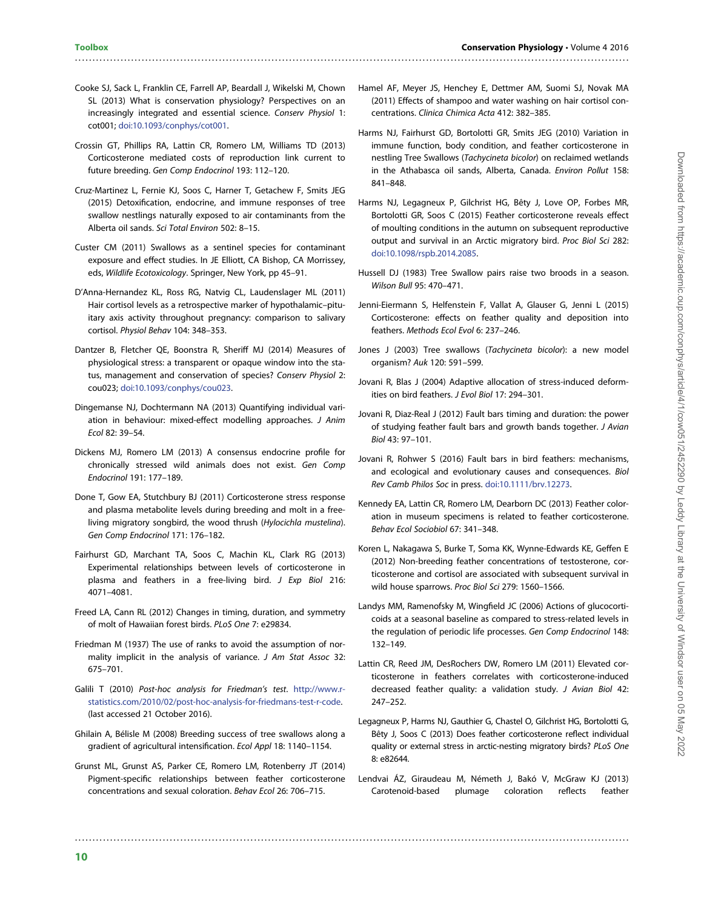- <span id="page-10-0"></span>Cooke SJ, Sack L, Franklin CE, Farrell AP, Beardall J, Wikelski M, Chown SL (2013) What is conservation physiology? Perspectives on an increasingly integrated and essential science. Conserv Physiol 1: cot001; [doi:10.1093/conphys/cot001](http://dx.doi.org/10.1093/conphys/cot001).
- Crossin GT, Phillips RA, Lattin CR, Romero LM, Williams TD (2013) Corticosterone mediated costs of reproduction link current to future breeding. Gen Comp Endocrinol 193: 112–120.
- Cruz-Martinez L, Fernie KJ, Soos C, Harner T, Getachew F, Smits JEG (2015) Detoxification, endocrine, and immune responses of tree swallow nestlings naturally exposed to air contaminants from the Alberta oil sands. Sci Total Environ 502: 8–15.
- Custer CM (2011) Swallows as a sentinel species for contaminant exposure and effect studies. In JE Elliott, CA Bishop, CA Morrissey, eds, Wildlife Ecotoxicology. Springer, New York, pp 45–91.
- D'Anna-Hernandez KL, Ross RG, Natvig CL, Laudenslager ML (2011) Hair cortisol levels as a retrospective marker of hypothalamic–pituitary axis activity throughout pregnancy: comparison to salivary cortisol. Physiol Behav 104: 348–353.
- Dantzer B, Fletcher QE, Boonstra R, Sheriff MJ (2014) Measures of physiological stress: a transparent or opaque window into the status, management and conservation of species? Conserv Physiol 2: cou023; [doi:10.1093/conphys/cou023.](http://dx.doi.org/10.1093/conphys/cou023)
- Dingemanse NJ, Dochtermann NA (2013) Quantifying individual variation in behaviour: mixed-effect modelling approaches. J Anim Ecol 82: 39–54.
- Dickens MJ, Romero LM (2013) A consensus endocrine profile for chronically stressed wild animals does not exist. Gen Comp Endocrinol 191: 177–189.
- Done T, Gow EA, Stutchbury BJ (2011) Corticosterone stress response and plasma metabolite levels during breeding and molt in a freeliving migratory songbird, the wood thrush (Hylocichla mustelina). Gen Comp Endocrinol 171: 176–182.
- Fairhurst GD, Marchant TA, Soos C, Machin KL, Clark RG (2013) Experimental relationships between levels of corticosterone in plasma and feathers in a free-living bird. J Exp Biol 216: 4071–4081.
- Freed LA, Cann RL (2012) Changes in timing, duration, and symmetry of molt of Hawaiian forest birds. PLoS One 7: e29834.
- Friedman M (1937) The use of ranks to avoid the assumption of normality implicit in the analysis of variance. J Am Stat Assoc 32: 675–701.
- Galili T (2010) Post-hoc analysis for Friedman's test. [http://www.r](http://www.r-statistics.com/2010/02/post-hoc-analysis-for-friedmans-test-r-code)[statistics.com/2010/02/post-hoc-analysis-for-friedmans-test-r-code.](http://www.r-statistics.com/2010/02/post-hoc-analysis-for-friedmans-test-r-code) (last accessed 21 October 2016).
- Ghilain A, Bélisle M (2008) Breeding success of tree swallows along a gradient of agricultural intensification. Ecol Appl 18: 1140–1154.
- Grunst ML, Grunst AS, Parker CE, Romero LM, Rotenberry JT (2014) Pigment-specific relationships between feather corticosterone concentrations and sexual coloration. Behav Ecol 26: 706–715.

- Hamel AF, Meyer JS, Henchey E, Dettmer AM, Suomi SJ, Novak MA (2011) Effects of shampoo and water washing on hair cortisol concentrations. Clinica Chimica Acta 412: 382–385.
- Harms NJ, Fairhurst GD, Bortolotti GR, Smits JEG (2010) Variation in immune function, body condition, and feather corticosterone in nestling Tree Swallows (Tachycineta bicolor) on reclaimed wetlands in the Athabasca oil sands, Alberta, Canada. Environ Pollut 158: 841–848.
- Harms NJ, Legagneux P, Gilchrist HG, Bêty J, Love OP, Forbes MR, Bortolotti GR, Soos C (2015) Feather corticosterone reveals effect of moulting conditions in the autumn on subsequent reproductive output and survival in an Arctic migratory bird. Proc Biol Sci 282: [doi:10.1098/rspb.2014.2085.](http://dx.doi.org/10.1098/rspb.2014.2085)
- Hussell DJ (1983) Tree Swallow pairs raise two broods in a season. Wilson Bull 95: 470–471.
- Jenni-Eiermann S, Helfenstein F, Vallat A, Glauser G, Jenni L (2015) Corticosterone: effects on feather quality and deposition into feathers. Methods Ecol Evol 6: 237–246.
- Jones J (2003) Tree swallows (Tachycineta bicolor): a new model organism? Auk 120: 591–599.
- Jovani R, Blas J (2004) Adaptive allocation of stress-induced deformities on bird feathers. J Evol Biol 17: 294–301.
- Jovani R, Diaz-Real J (2012) Fault bars timing and duration: the power of studying feather fault bars and growth bands together. J Avian Biol 43: 97–101.
- Jovani R, Rohwer S (2016) Fault bars in bird feathers: mechanisms, and ecological and evolutionary causes and consequences. Biol Rev Camb Philos Soc in press. [doi:10.1111/brv.12273.](http://dx.doi.org/10.1111/brv.12273)
- Kennedy EA, Lattin CR, Romero LM, Dearborn DC (2013) Feather coloration in museum specimens is related to feather corticosterone. Behav Ecol Sociobiol 67: 341–348.
- Koren L, Nakagawa S, Burke T, Soma KK, Wynne-Edwards KE, Geffen E (2012) Non-breeding feather concentrations of testosterone, corticosterone and cortisol are associated with subsequent survival in wild house sparrows. Proc Biol Sci 279: 1560–1566.
- Landys MM, Ramenofsky M, Wingfield JC (2006) Actions of glucocorticoids at a seasonal baseline as compared to stress-related levels in the regulation of periodic life processes. Gen Comp Endocrinol 148: 132–149.
- Lattin CR, Reed JM, DesRochers DW, Romero LM (2011) Elevated corticosterone in feathers correlates with corticosterone-induced decreased feather quality: a validation study. J Avian Biol 42: 247–252.
- Legagneux P, Harms NJ, Gauthier G, Chastel O, Gilchrist HG, Bortolotti G, Bêty J, Soos C (2013) Does feather corticosterone reflect individual quality or external stress in arctic-nesting migratory birds? PLoS One 8: e82644.
- Lendvai ÁZ, Giraudeau M, Németh J, Bakó V, McGraw KJ (2013) Carotenoid-based plumage coloration reflects feather